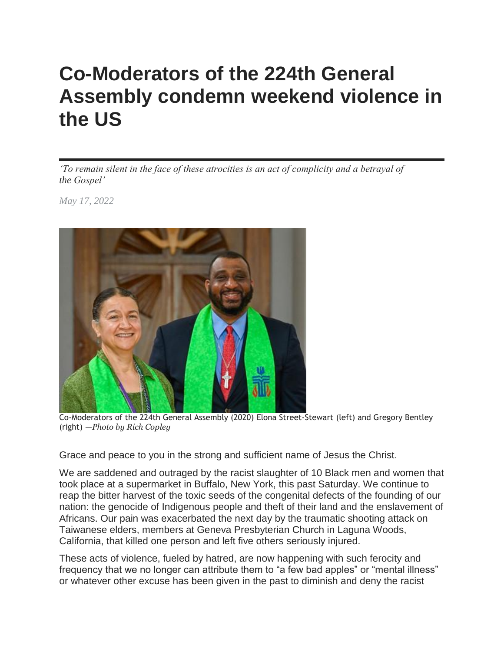## **Co-Moderators of the 224th General Assembly condemn weekend violence in the US**

*'To remain silent in the face of these atrocities is an act of complicity and a betrayal of the Gospel'*

*May 17, 2022*



Co-Moderators of the 224th General Assembly (2020) Elona Street-Stewart (left) and Gregory Bentley (right) *—Photo by Rich Copley*

Grace and peace to you in the strong and sufficient name of Jesus the Christ.

We are saddened and outraged by the racist slaughter of 10 Black men and women that took place at a supermarket in Buffalo, New York, this past Saturday. We continue to reap the bitter harvest of the toxic seeds of the congenital defects of the founding of our nation: the genocide of Indigenous people and theft of their land and the enslavement of Africans. Our pain was exacerbated the next day by the traumatic shooting attack on Taiwanese elders, members at Geneva Presbyterian Church in Laguna Woods, California, that killed one person and left five others seriously injured.

These acts of violence, fueled by hatred, are now happening with such ferocity and frequency that we no longer can attribute them to "a few bad apples" or "mental illness" or whatever other excuse has been given in the past to diminish and deny the racist